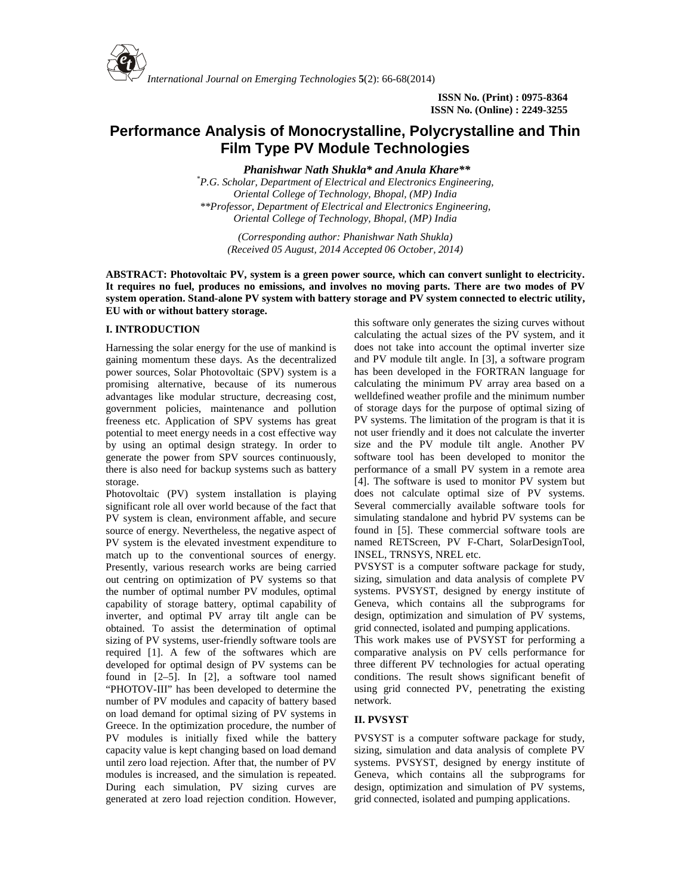

# **Performance Analysis of Monocrystalline, Polycrystalline and Thin Film Type PV Module Technologies**

*Phanishwar Nath Shukla\* and Anula Khare\*\**

*\*P.G. Scholar, Department of Electrical and Electronics Engineering, Oriental College of Technology, Bhopal, (MP) India \*\*Professor, Department of Electrical and Electronics Engineering, Oriental College of Technology, Bhopal, (MP) India*

> *(Corresponding author: Phanishwar Nath Shukla) (Received 05 August, 2014 Accepted 06 October, 2014)*

**ABSTRACT: Photovoltaic PV, system is a green power source, which can convert sunlight to electricity. It requires no fuel, produces no emissions, and involves no moving parts. There are two modes of PV system operation. Stand-alone PV system with battery storage and PV system connected to electric utility, EU with or without battery storage.**

# **I. INTRODUCTION**

Harnessing the solar energy for the use of mankind is gaining momentum these days. As the decentralized power sources, Solar Photovoltaic (SPV) system is a promising alternative, because of its numerous advantages like modular structure, decreasing cost, government policies, maintenance and pollution freeness etc. Application of SPV systems has great potential to meet energy needs in a cost effective way by using an optimal design strategy. In order to generate the power from SPV sources continuously, there is also need for backup systems such as battery storage.

Photovoltaic (PV) system installation is playing significant role all over world because of the fact that PV system is clean, environment affable, and secure source of energy. Nevertheless, the negative aspect of PV system is the elevated investment expenditure to match up to the conventional sources of energy. Presently, various research works are being carried out centring on optimization of PV systems so that the number of optimal number PV modules, optimal capability of storage battery, optimal capability of inverter, and optimal PV array tilt angle can be obtained. To assist the determination of optimal sizing of PV systems, user-friendly software tools are required [1]. A few of the softwares which are developed for optimal design of PV systems can be found in [2–5]. In [2], a software tool named "PHOTOV-III" has been developed to determine the number of PV modules and capacity of battery based on load demand for optimal sizing of PV systems in Greece. In the optimization procedure, the number of PV modules is initially fixed while the battery capacity value is kept changing based on load demand until zero load rejection. After that, the number of PV modules is increased, and the simulation is repeated. During each simulation, PV sizing curves are generated at zero load rejection condition. However, this software only generates the sizing curves without calculating the actual sizes of the PV system, and it does not take into account the optimal inverter size and PV module tilt angle. In [3], a software program has been developed in the FORTRAN language for calculating the minimum PV array area based on a welldefined weather profile and the minimum number of storage days for the purpose of optimal sizing of PV systems. The limitation of the program is that it is not user friendly and it does not calculate the inverter size and the PV module tilt angle. Another PV software tool has been developed to monitor the performance of a small PV system in a remote area [4]. The software is used to monitor PV system but does not calculate optimal size of PV systems. Several commercially available software tools for simulating standalone and hybrid PV systems can be found in [5]. These commercial software tools are named RETScreen, PV F-Chart, SolarDesignTool, INSEL, TRNSYS, NREL etc.

PVSYST is a computer software package for study, sizing, simulation and data analysis of complete PV systems. PVSYST, designed by energy institute of Geneva, which contains all the subprograms for design, optimization and simulation of PV systems, grid connected, isolated and pumping applications.

This work makes use of PVSYST for performing a comparative analysis on PV cells performance for three different PV technologies for actual operating conditions. The result shows significant benefit of using grid connected PV, penetrating the existing network.

## **II. PVSYST**

PVSYST is a computer software package for study, sizing, simulation and data analysis of complete PV systems. PVSYST, designed by energy institute of Geneva, which contains all the subprograms for design, optimization and simulation of PV systems, grid connected, isolated and pumping applications.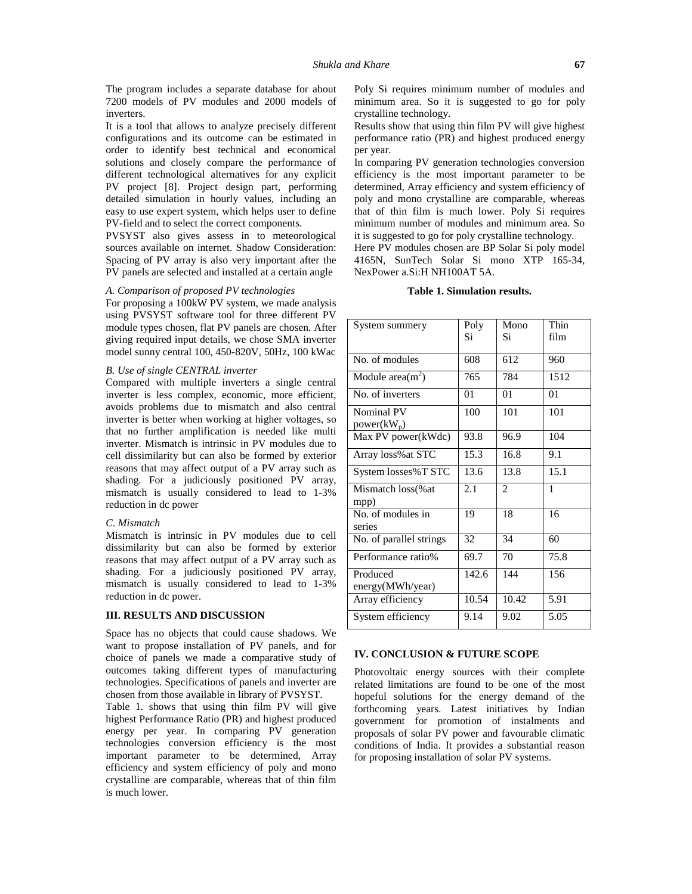The program includes a separate database for about 7200 models of PV modules and 2000 models of inverters.

It is a tool that allows to analyze precisely different configurations and its outcome can be estimated in order to identify best technical and economical solutions and closely compare the performance of different technological alternatives for any explicit PV project [8]. Project design part, performing detailed simulation in hourly values, including an easy to use expert system, which helps user to define PV-field and to select the correct components.

PVSYST also gives assess in to meteorological sources available on internet. Shadow Consideration: Spacing of PV array is also very important after the PV panels are selected and installed at a certain angle

# *A. Comparison of proposed PV technologies*

For proposing a 100kW PV system, we made analysis using PVSYST software tool for three different PV module types chosen, flat PV panels are chosen. After giving required input details, we chose SMA inverter model sunny central 100, 450-820V, 50Hz, 100 kWac

### *B. Use of single CENTRAL inverter*

Compared with multiple inverters a single central inverter is less complex, economic, more efficient, avoids problems due to mismatch and also central inverter is better when working at higher voltages, so that no further amplification is needed like multi inverter. Mismatch is intrinsic in PV modules due to cell dissimilarity but can also be formed by exterior reasons that may affect output of a PV array such as shading. For a judiciously positioned PV array, mismatch is usually considered to lead to 1-3% reduction in dc power

#### *C. Mismatch*

Mismatch is intrinsic in PV modules due to cell dissimilarity but can also be formed by exterior reasons that may affect output of a PV array such as shading. For a judiciously positioned PV array, mismatch is usually considered to lead to 1-3% reduction in dc power.

## **III. RESULTS AND DISCUSSION**

Space has no objects that could cause shadows. We want to propose installation of PV panels, and for choice of panels we made a comparative study of outcomes taking different types of manufacturing technologies. Specifications of panels and inverter are chosen from those available in library of PVSYST.

Table 1. shows that using thin film PV will give highest Performance Ratio (PR) and highest produced energy per year. In comparing PV generation technologies conversion efficiency is the most important parameter to be determined, Array efficiency and system efficiency of poly and mono crystalline are comparable, whereas that of thin film is much lower.

Poly Si requires minimum number of modules and minimum area. So it is suggested to go for poly crystalline technology.

Results show that using thin film PV will give highest performance ratio (PR) and highest produced energy per year.

In comparing PV generation technologies conversion efficiency is the most important parameter to be determined, Array efficiency and system efficiency of poly and mono crystalline are comparable, whereas that of thin film is much lower. Poly Si requires minimum number of modules and minimum area. So it is suggested to go for poly crystalline technology.

Here PV modules chosen are BP Solar Si poly model 4165N, SunTech Solar Si mono XTP 165-34, NexPower a.Si:H NH100AT 5A.

#### **Table 1. Simulation results.**

| System summery               | Poly<br>Si | Mono<br>Si     | Thin<br>film |
|------------------------------|------------|----------------|--------------|
|                              |            |                |              |
| No. of modules               | 608        | 612            | 960          |
| Module area $(m^2)$          | 765        | 784            | 1512         |
| No. of inverters             | 01         | 01             | 01           |
| Nominal PV<br>$power(kW_p)$  | 100        | 101            | 101          |
| Max PV power(kWdc)           | 93.8       | 96.9           | 104          |
| Array loss% at STC           | 15.3       | 16.8           | 9.1          |
| System losses%T STC          | 13.6       | 13.8           | 15.1         |
| Mismatch loss (% at<br>mpp)  | 2.1        | $\mathfrak{D}$ | 1            |
| No. of modules in<br>series  | 19         | 18             | 16           |
| No. of parallel strings      | 32         | 34             | 60           |
| Performance ratio%           | 69.7       | 70             | 75.8         |
| Produced<br>energy(MWh/year) | 142.6      | 144            | 156          |
| Array efficiency             | 10.54      | 10.42          | 5.91         |
| System efficiency            | 9.14       | 9.02           | 5.05         |

## **IV. CONCLUSION & FUTURE SCOPE**

Photovoltaic energy sources with their complete related limitations are found to be one of the most hopeful solutions for the energy demand of the forthcoming years. Latest initiatives by Indian government for promotion of instalments and proposals of solar PV power and favourable climatic conditions of India. It provides a substantial reason for proposing installation of solar PV systems.